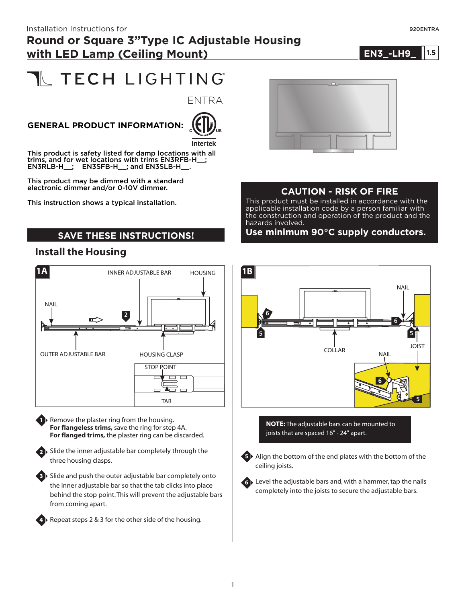## **Round or Square 3"Type IC Adjustable Housing with LED Lamp (Ceiling Mount)**

920ENTRA

#### **1.0 EN3\_-LH9\_ 1.5**

# **N** TECH LIGHTING

ENTRA

#### **GENERAL PRODUCT INFORMATION:**



This product is safety listed for damp locations with all trims, and for wet locations with trims EN3RFB-H\_\_; EN3RLB-H\_\_; EN3SFB-H\_\_; and EN3SLB-H\_\_.

This product may be dimmed with a standard electronic dimmer and/or 0-10V dimmer.

This instruction shows a typical installation.

#### **SAVE THESE INSTRUCTIONS!**

#### **Install the Housing**



**1 ▶** Remove the plaster ring from the housing. **For flangeless trims,** save the ring for step 4A. **For flanged trims,** the plaster ring can be discarded.

**2** Slide the inner adjustable bar completely through the three housing clasps.

**3** Slide and push the outer adjustable bar completely onto the inner adjustable bar so that the tab clicks into place behind the stop point.This will prevent the adjustable bars from coming apart.





ceiling joists.



Level the adjustable bars and, with a hammer, tap the nails **6** completely into the joists to secure the adjustable bars.

#### **CAUTION - RISK OF FIRE**

This product must be installed in accordance with the applicable installation code by a person familiar with the construction and operation of the product and the hazards involved.

**Use minimum 90°C supply conductors.**



**NOTE:** The adjustable bars can be mounted to joists that are spaced 16" - 24" apart.

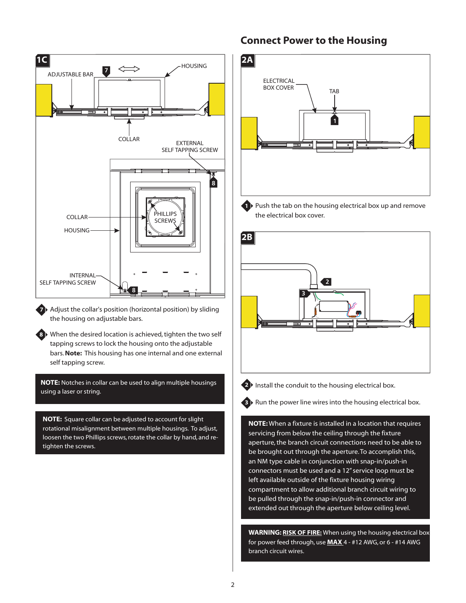

**7** Adjust the collar's position (horizontal position) by sliding the housing on adjustable bars.

When the desired location is achieved, tighten the two self **8** tapping screws to lock the housing onto the adjustable bars. **Note:** This housing has one internal and one external self tapping screw.

**NOTE:** Notches in collar can be used to align multiple housings using a laser or string.

**NOTE:** Square collar can be adjusted to account for slight rotational misalignment between multiple housings. To adjust, loosen the two Phillips screws, rotate the collar by hand, and retighten the screws.

#### **Connect Power to the Housing**



**1** Push the tab on the housing electrical box up and remove the electrical box cover.





**2** Install the conduit to the housing electrical box.

**3** Run the power line wires into the housing electrical box.

**NOTE:** When a fixture is installed in a location that requires servicing from below the ceiling through the fixture aperture, the branch circuit connections need to be able to be brought out through the aperture.To accomplish this, an NM type cable in conjunction with snap-in/push-in connectors must be used and a 12" service loop must be left available outside of the fixture housing wiring compartment to allow additional branch circuit wiring to be pulled through the snap-in/push-in connector and extended out through the aperture below ceiling level.

**WARNING: RISK OF FIRE:** When using the housing electrical box for power feed through, use **MAX** 4 - #12 AWG, or 6 - #14 AWG branch circuit wires.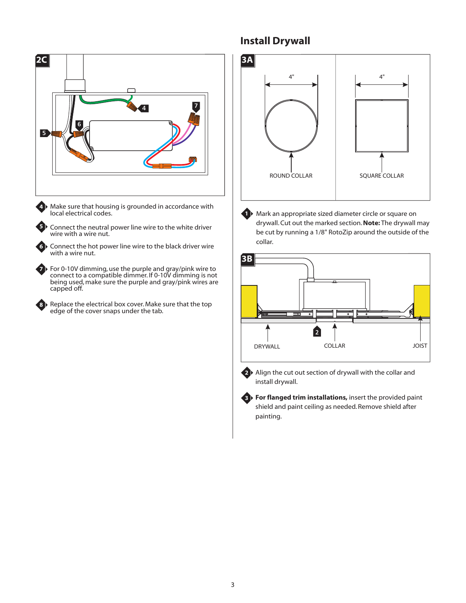

Make sure that housing is grounded in accordance with local electrical codes.

**4**

**5**

**6**

**7**

**8**

Connect the neutral power line wire to the white driver wire with a wire nut.

Connect the hot power line wire to the black driver wire with a wire nut.

For 0-10V dimming, use the purple and gray/pink wire to connect to a compatible dimmer. If 0-10V dimming is not being used, make sure the purple and gray/pink wires are capped off.

Replace the electrical box cover. Make sure that the top edge of the cover snaps under the tab.

### **Install Drywall**



**1** Mark an appropriate sized diameter circle or square on drywall. Cut out the marked section. Note: The drywall may be cut by running a 1/8" RotoZip around the outside of the collar.



**2** Align the cut out section of drywall with the collar and install drywall.

**For flanged trim installations,** insert the provided paint **3** shield and paint ceiling as needed. Remove shield after painting.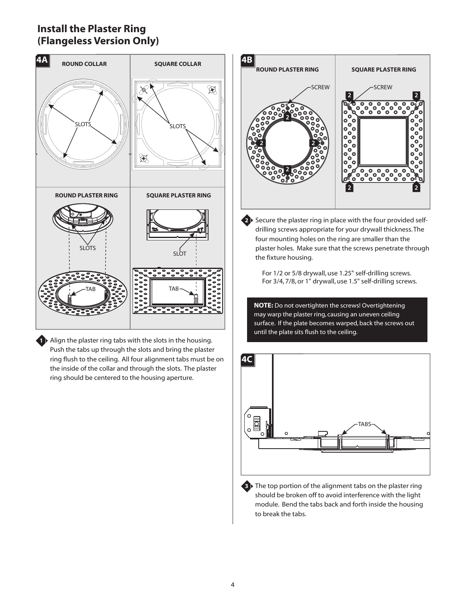#### **Install the Plaster Ring (Flangeless Version Only)**



**1** Align the plaster ring tabs with the slots in the housing. Push the tabs up through the slots and bring the plaster ring flush to the ceiling. All four alignment tabs must be on the inside of the collar and through the slots. The plaster ring should be centered to the housing aperture.

**ROUND PLASTER RING SQUARE PLASTER RING** SCREW **SCREW 2 2**  $\frac{1}{2}$  $\overline{\circ}$  $\overline{\bullet}$  $\overline{\phantom{a}}$ 。。<br>。。 n ۰ ۰o ัด ้ด **2** ۰c  $\circ \, \circ \, \circ \, \circ$ d ö 'e **2 2**  $\ddot{\mathbf{o}}$ Ó ٠c Ó ö  $\circ$ ö ۰o **2**  $\overline{\circ}$ ò ö ō ່໐ **2 2**

**2** Secure the plaster ring in place with the four provided selfdrilling screws appropriate for your drywall thickness.The four mounting holes on the ring are smaller than the plaster holes. Make sure that the screws penetrate through the fixture housing.

For 1/2 or 5/8 drywall, use 1.25" self-drilling screws. For 3/4, 7/8, or 1" drywall, use 1.5" self-drilling screws.

**NOTE:** Do not overtighten the screws! Overtightening may warp the plaster ring, causing an uneven ceiling surface. If the plate becomes warped, back the screws out until the plate sits flush to the ceiling.



**3** The top portion of the alignment tabs on the plaster ring should be broken off to avoid interference with the light module. Bend the tabs back and forth inside the housing to break the tabs.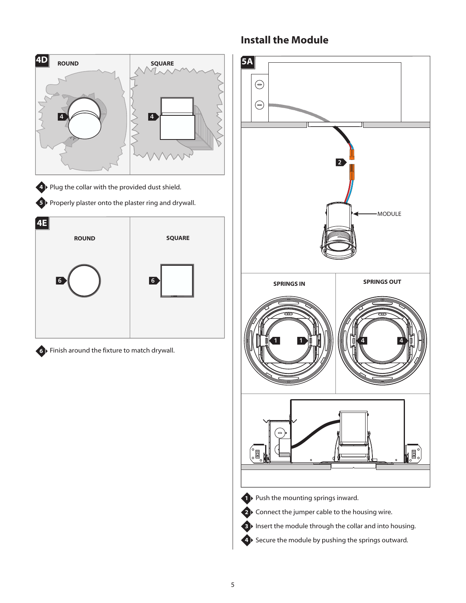

#### **Install the Module**

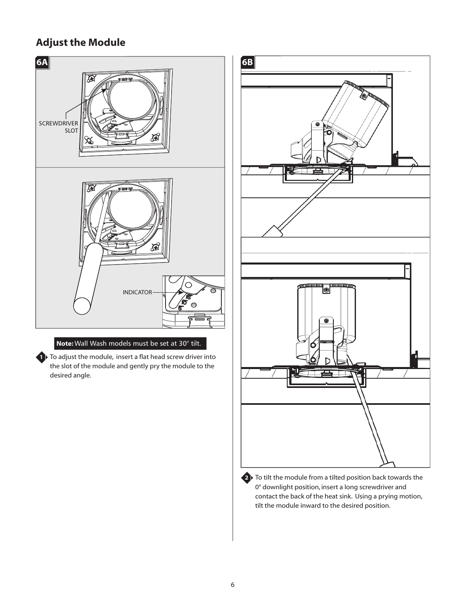### **Adjust the Module**



#### **Note:** Wall Wash models must be set at 30° tilt.

**1** To adjust the module, insert a flat head screw driver into the slot of the module and gently pry the module to the desired angle.



2<sup>)</sup> To tilt the module from a tilted position back towards the 0° downlight position, insert a long screwdriver and contact the back of the heat sink. Using a prying motion, tilt the module inward to the desired position.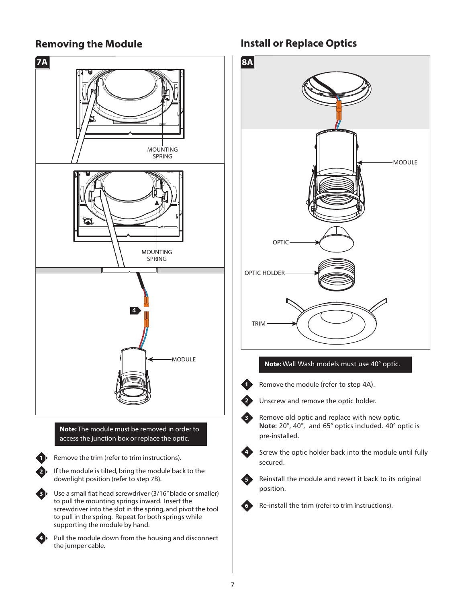#### **Removing the Module**



Use a small flat head screwdriver (3/16" blade or smaller) to pull the mounting springs inward. Insert the screwdriver into the slot in the spring, and pivot the tool to pull in the spring. Repeat for both springs while supporting the module by hand.



**3**

Pull the module down from the housing and disconnect the jumper cable.

### **Install or Replace Optics**